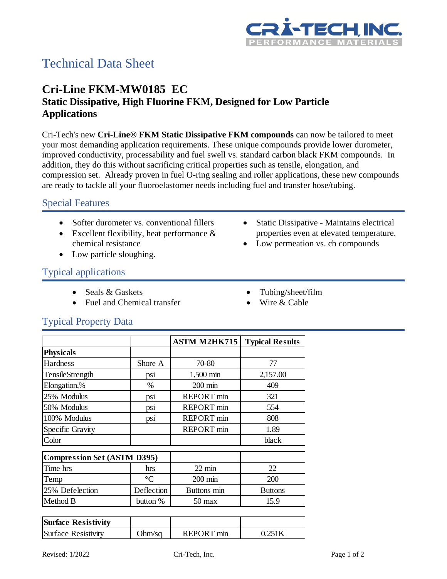

# Technical Data Sheet

# **Cri-Line FKM-MW0185 EC Static Dissipative, High Fluorine FKM, Designed for Low Particle Applications**

Cri-Tech's new **Cri-Line® FKM Static Dissipative FKM compounds** can now be tailored to meet your most demanding application requirements. These unique compounds provide lower durometer, improved conductivity, processability and fuel swell vs. standard carbon black FKM compounds. In addition, they do this without sacrificing critical properties such as tensile, elongation, and compression set. Already proven in fuel O-ring sealing and roller applications, these new compounds are ready to tackle all your fluoroelastomer needs including fuel and transfer hose/tubing.

#### Special Features

- Softer durometer vs. conventional fillers
- Excellent flexibility, heat performance & chemical resistance
- Low particle sloughing.

#### • Static Dissipative - Maintains electrical properties even at elevated temperature.

• Low permeation vs. cb compounds

## Typical applications

- Seals & Gaskets
- Fuel and Chemical transfer
- Tubing/sheet/film
- Wire & Cable

### Typical Property Data

|                                    |                 | <b>ASTM M2HK715</b> | <b>Typical Results</b> |
|------------------------------------|-----------------|---------------------|------------------------|
| <b>Physicals</b>                   |                 |                     |                        |
| Hardness                           | Shore A         | 70-80               | 77                     |
| <b>TensileStrength</b>             | psi             | 1,500 min           | 2,157.00               |
| Elongation,%                       | $\%$            | $200 \text{ min}$   | 409                    |
| 25% Modulus                        | psi             | <b>REPORT</b> min   | 321                    |
| 50% Modulus                        | psi             | <b>REPORT</b> min   | 554                    |
| 100% Modulus                       | psi             | <b>REPORT</b> min   | 808                    |
| Specific Gravity                   |                 | <b>REPORT</b> min   | 1.89                   |
| Color                              |                 |                     | black                  |
| <b>Compression Set (ASTM D395)</b> |                 |                     |                        |
| Time hrs                           | hrs             | $22 \text{ min}$    | 22                     |
| Temp                               | $\rm ^{\circ}C$ | $200 \text{ min}$   | 200                    |
| 25% Defelection                    | Deflection      | Buttons min         | <b>Buttons</b>         |
| Method B                           | button %        | $50 \,\mathrm{max}$ | 15.9                   |

| <b>Surface Resistivity</b> |        |            |        |
|----------------------------|--------|------------|--------|
| Surface Resistivity        | Ohm/sa | REPORT min | 75 I k |